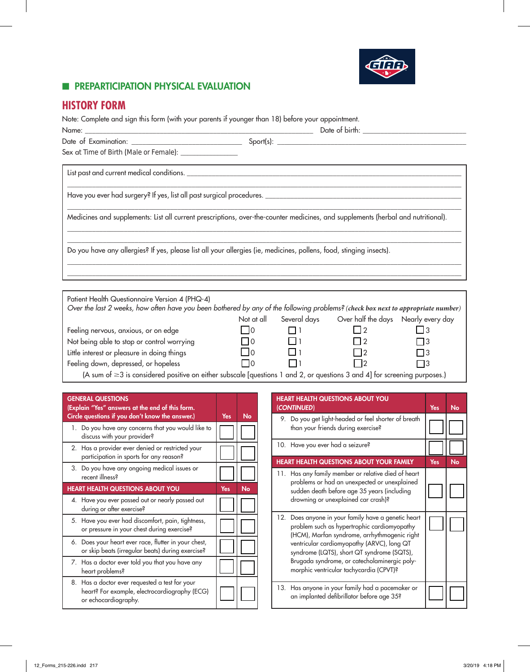

#### **E** PREPARTICIPATION PHYSICAL EVALUATION

## **HISTORY FORM**

Note: Complete and sign this form (with your parents if younger than 18) before your appointment.

| Sex at Time of Birth (Male or Female): ________________                                                                                                                            |                                                 |                      |                                                                                       |             |
|------------------------------------------------------------------------------------------------------------------------------------------------------------------------------------|-------------------------------------------------|----------------------|---------------------------------------------------------------------------------------|-------------|
|                                                                                                                                                                                    |                                                 |                      |                                                                                       |             |
|                                                                                                                                                                                    |                                                 |                      |                                                                                       |             |
| Medicines and supplements: List all current prescriptions, over-the-counter medicines, and supplements (herbal and nutritional).                                                   |                                                 |                      |                                                                                       |             |
| Do you have any allergies? If yes, please list all your allergies (ie, medicines, pollens, food, stinging insects).                                                                |                                                 |                      |                                                                                       |             |
|                                                                                                                                                                                    |                                                 |                      |                                                                                       |             |
| Patient Health Questionnaire Version 4 (PHQ-4)<br>Over the last 2 weeks, how often have you been bothered by any of the following problems? (check box next to appropriate number) |                                                 |                      |                                                                                       |             |
| Feeling nervous, anxious, or on edge<br>Not being able to stop or control worrying<br>$\mathsf{L}$ ; interest or pleasure in deing things                                          | $\overline{1}$ $\overline{0}$<br>I 10<br>$\Box$ | $\Box$ 1<br>$\Box$ 1 | Not at all Several days Over half the days Nearly every day<br>$\Box$ 2<br>l 12<br>□○ | l 13<br>r d |

Little interest or pleasure in doing things  $\Box$  0  $\Box$  1  $\Box$  2  $\Box$  3<br>
Teeling down, depressed, or hopeless  $\Box$  0  $\Box$  1  $\Box$  2  $\Box$  3 Feeling down, depressed, or hopeless  $\Box$  0  $\Box$  1  $\Box$  2  $\Box$  3

(A sum of ≥3 is considered positive on either subscale [questions 1 and 2, or questions 3 and 4] for screening purposes.)

| <b>GENERAL QUESTIONS</b><br>(Explain "Yes" answers at the end of this form.<br>Circle questions if you don't know the answer.) | Yes | No        |
|--------------------------------------------------------------------------------------------------------------------------------|-----|-----------|
| 1. Do you have any concerns that you would like to<br>discuss with your provider?                                              |     |           |
| 2. Has a provider ever denied or restricted your<br>participation in sports for any reason?                                    |     |           |
| 3. Do you have any ongoing medical issues or<br>recent illness?                                                                |     |           |
| <b>HEART HEALTH QUESTIONS ABOUT YOU</b>                                                                                        | Yes | <b>No</b> |
| 4. Have you ever passed out or nearly passed out<br>during or after exercise?                                                  |     |           |
| 5. Have you ever had discomfort, pain, tightness,<br>or pressure in your chest during exercise?                                |     |           |
| 6. Does your heart ever race, flutter in your chest,<br>or skip beats (irregular beats) during exercise?                       |     |           |
| 7. Has a doctor ever told you that you have any<br>heart problems?                                                             |     |           |
| 8. Has a doctor ever requested a test for your<br>heart? For example, electrocardiography (ECG)<br>or echocardiography.        |     |           |

| <b>HEART HEALTH QUESTIONS ABOUT YOU</b><br>(CONTINUED)                                                                                                                                                                                                                                                                                    | <b>Yes</b> | No        |
|-------------------------------------------------------------------------------------------------------------------------------------------------------------------------------------------------------------------------------------------------------------------------------------------------------------------------------------------|------------|-----------|
| 9. Do you get light-headed or feel shorter of breath<br>than your friends during exercise?                                                                                                                                                                                                                                                |            |           |
| 10. Have you ever had a seizure?                                                                                                                                                                                                                                                                                                          |            |           |
| <b>HEART HEALTH QUESTIONS ABOUT YOUR FAMILY</b>                                                                                                                                                                                                                                                                                           | Yes        | <b>No</b> |
| 11. Has any family member or relative died of heart<br>problems or had an unexpected or unexplained<br>sudden death before age 35 years (including<br>drowning or unexplained car crash)?                                                                                                                                                 |            |           |
| 12. Does anyone in your family have a genetic heart<br>problem such as hypertrophic cardiomyopathy<br>(HCM), Marfan syndrome, arrhythmogenic right<br>ventricular cardiomyopathy (ARVC), long QT<br>syndrome (LQTS), short QT syndrome (SQTS),<br>Brugada syndrome, or catecholaminergic poly-<br>morphic ventricular tachycardia (CPVT)? |            |           |
| 13. Has anyone in your family had a pacemaker or<br>an implanted defibrillator before age 35?                                                                                                                                                                                                                                             |            |           |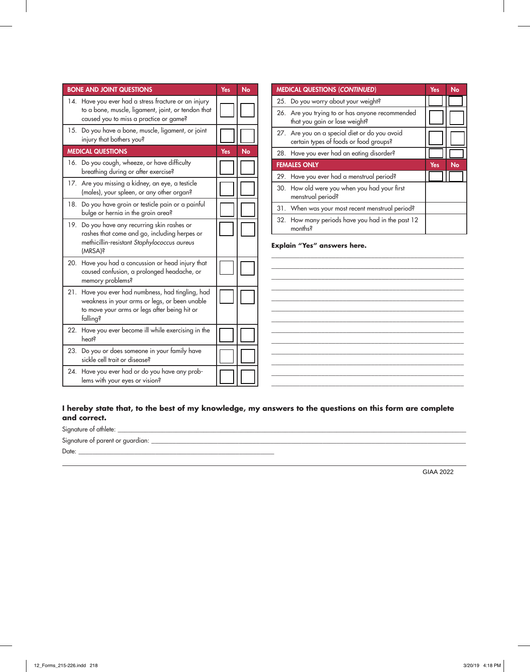| <b>BONE AND JOINT QUESTIONS</b>                                                                                                                                | Yes | No        | <b>MEDICAL QUESTIONS (CONTINUED)</b>                                                                                    | Yes | No        |
|----------------------------------------------------------------------------------------------------------------------------------------------------------------|-----|-----------|-------------------------------------------------------------------------------------------------------------------------|-----|-----------|
| 14. Have you ever had a stress fracture or an injury<br>to a bone, muscle, ligament, joint, or tendon that<br>caused you to miss a practice or game?           |     |           | 25. Do you worry about your weight?<br>26. Are you trying to or has anyone recommended<br>that you gain or lose weight? |     |           |
| 15. Do you have a bone, muscle, ligament, or joint<br>injury that bothers you?                                                                                 |     |           | 27. Are you on a special diet or do you avoid<br>certain types of foods or food groups?                                 |     |           |
| <b>MEDICAL QUESTIONS</b>                                                                                                                                       | Yes | <b>No</b> | 28. Have you ever had an eating disorder?                                                                               |     |           |
| 16. Do you cough, wheeze, or have difficulty<br>breathing during or after exercise?                                                                            |     |           | <b>FEMALES ONLY</b><br>29. Have you ever had a menstrual period?                                                        | Yes | <b>No</b> |
| 17. Are you missing a kidney, an eye, a testicle<br>(males), your spleen, or any other organ?                                                                  |     |           | 30. How old were you when you had your first<br>menstrual period?                                                       |     |           |
| 18. Do you have groin or testicle pain or a painful<br>bulge or hernia in the groin area?                                                                      |     |           | 31. When was your most recent menstrual period?                                                                         |     |           |
| 19. Do you have any recurring skin rashes or<br>rashes that come and go, including herpes or<br>methicillin-resistant Staphylococcus aureus<br>(MRSA)?         |     |           | 32. How many periods have you had in the past 12<br>months?<br>Explain "Yes" answers here.                              |     |           |
| 20. Have you had a concussion or head injury that<br>caused confusion, a prolonged headache, or<br>memory problems?                                            |     |           |                                                                                                                         |     |           |
| 21. Have you ever had numbness, had tingling, had<br>weakness in your arms or legs, or been unable<br>to move your arms or legs after being hit or<br>falling? |     |           |                                                                                                                         |     |           |
| 22. Have you ever become ill while exercising in the<br><b>heats</b>                                                                                           |     |           |                                                                                                                         |     |           |
| 23. Do you or does someone in your family have<br>sickle cell trait or disease?                                                                                |     |           |                                                                                                                         |     |           |
| 24. Have you ever had or do you have any prob-<br>lems with your eyes or vision?                                                                               |     |           |                                                                                                                         |     |           |

| <b>MEDICAL QUESTIONS (CONTINUED)</b>                                                    | Yes | No |
|-----------------------------------------------------------------------------------------|-----|----|
| 25. Do you worry about your weight?                                                     |     |    |
| 26. Are you trying to or has anyone recommended<br>that you gain or lose weight?        |     |    |
| 27. Are you on a special diet or do you avoid<br>certain types of foods or food groups? |     |    |
| 28. Have you ever had an eating disorder?                                               |     |    |
| <b>FEMALES ONLY</b>                                                                     | Yes | No |
| 29. Have you ever had a menstrual period?                                               |     |    |
| 30. How old were you when you had your first<br>menstrual period?                       |     |    |
| 31. When was your most recent menstrual period?                                         |     |    |
| 32. How many periods have you had in the past 12<br>months <sup>2</sup>                 |     |    |

**I hereby state that, to the best of my knowledge, my answers to the questions on this form are complete and correct.**

Signature of athlete: \_\_\_\_\_\_\_\_\_\_\_\_\_\_\_\_\_\_\_\_\_\_\_\_\_\_\_\_\_\_\_\_\_\_\_\_\_\_\_\_\_\_\_\_\_\_\_\_\_\_\_\_\_\_\_\_\_\_\_\_\_\_\_\_\_\_\_\_\_\_\_\_\_\_\_\_\_\_\_\_\_\_\_\_\_\_\_\_\_\_\_\_\_\_\_\_\_\_\_\_\_\_ Signature of parent or guardian: \_\_\_\_\_\_\_\_\_\_\_\_\_\_\_\_\_\_\_\_\_\_\_\_\_\_\_\_\_\_\_\_\_\_\_\_\_\_\_\_\_\_\_\_\_\_\_\_\_\_\_\_\_\_\_\_\_\_\_\_\_\_\_\_\_\_\_\_\_\_\_\_\_\_\_\_\_\_\_\_\_\_\_\_\_\_\_\_\_\_ Date: \_\_\_\_\_\_\_\_\_\_\_\_\_\_\_\_\_\_\_\_\_\_\_\_\_\_\_\_\_\_\_\_\_\_\_\_\_\_\_\_\_\_\_\_\_\_\_\_\_\_\_\_\_\_\_\_

GIAA 2022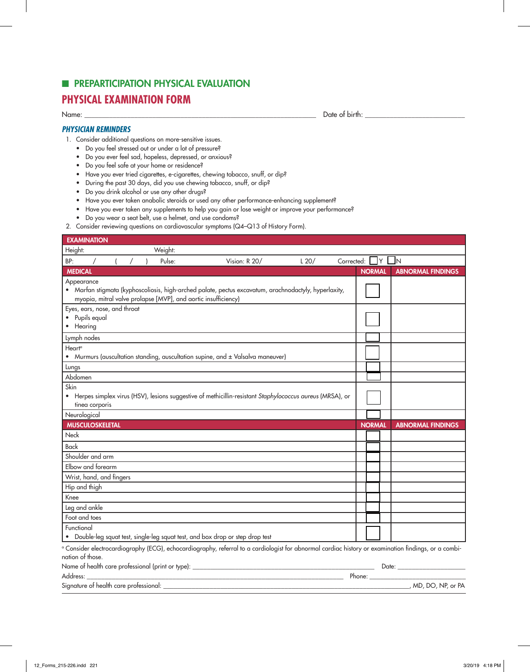## **EDIPIERARTICIPATION PHYSICAL EVALUATION**

### **PHYSICAL EXAMINATION FORM**

Name: \_\_\_\_\_\_\_\_\_\_\_\_\_\_\_\_\_\_\_\_\_\_\_\_\_\_\_\_\_\_\_\_\_\_\_\_\_\_\_\_\_\_\_\_\_\_\_\_\_\_\_\_\_\_\_\_\_\_\_\_\_\_\_\_\_ Date of birth: \_\_\_\_\_\_\_\_\_\_\_\_\_\_\_\_\_\_\_\_\_\_\_\_\_\_\_\_

#### *PHYSICIAN REMINDERS*

- 1. Consider additional questions on more-sensitive issues.
	- Do you feel stressed out or under a lot of pressure?
	- Do you ever feel sad, hopeless, depressed, or anxious?
	- Do you feel safe at your home or residence?
	- Have you ever tried cigarettes, e-cigarettes, chewing tobacco, snuff, or dip?
	- During the past 30 days, did you use chewing tobacco, snuff, or dip?
	- Do you drink alcohol or use any other drugs?
	- Have you ever taken anabolic steroids or used any other performance-enhancing supplement?
	- Have you ever taken any supplements to help you gain or lose weight or improve your performance?
	- Do you wear a seat belt, use a helmet, and use condoms?
- 2. Consider reviewing questions on cardiovascular symptoms (Q4–Q13 of History Form).

| <b>EXAMINATION</b>                                                           |         |                                                                                                                                                      |      |            |               |      |                          |
|------------------------------------------------------------------------------|---------|------------------------------------------------------------------------------------------------------------------------------------------------------|------|------------|---------------|------|--------------------------|
| Height:                                                                      | Weight: |                                                                                                                                                      |      |            |               |      |                          |
| BP:                                                                          | Pulse:  | Vision: R 20/                                                                                                                                        | L20/ | Corrected: |               | ∣Y L | $\blacksquare$ N         |
| <b>MEDICAL</b>                                                               |         |                                                                                                                                                      |      |            | <b>NORMAL</b> |      | <b>ABNORMAL FINDINGS</b> |
| Appearance<br>myopia, mitral valve prolapse [MVP], and aortic insufficiency) |         | • Marfan stigmata (kyphoscoliosis, high-arched palate, pectus excavatum, arachnodactyly, hyperlaxity,                                                |      |            |               |      |                          |
| Eyes, ears, nose, and throat<br>Pupils equal<br>• Hearing                    |         |                                                                                                                                                      |      |            |               |      |                          |
| Lymph nodes                                                                  |         |                                                                                                                                                      |      |            |               |      |                          |
| Heart <sup>a</sup>                                                           |         | • Murmurs (auscultation standing, auscultation supine, and ± Valsalva maneuver)                                                                      |      |            |               |      |                          |
| Lungs                                                                        |         |                                                                                                                                                      |      |            |               |      |                          |
| Abdomen                                                                      |         |                                                                                                                                                      |      |            |               |      |                          |
| Skin<br>tinea corporis                                                       |         | • Herpes simplex virus (HSV), lesions suggestive of methicillin-resistant Staphylococcus aureus (MRSA), or                                           |      |            |               |      |                          |
| Neurological                                                                 |         |                                                                                                                                                      |      |            |               |      |                          |
| <b>MUSCULOSKELETAL</b>                                                       |         |                                                                                                                                                      |      |            | <b>NORMAL</b> |      | <b>ABNORMAL FINDINGS</b> |
| <b>Neck</b>                                                                  |         |                                                                                                                                                      |      |            |               |      |                          |
| Back                                                                         |         |                                                                                                                                                      |      |            |               |      |                          |
| Shoulder and arm                                                             |         |                                                                                                                                                      |      |            |               |      |                          |
| Elbow and forearm                                                            |         |                                                                                                                                                      |      |            |               |      |                          |
| Wrist, hand, and fingers                                                     |         |                                                                                                                                                      |      |            |               |      |                          |
| Hip and thigh                                                                |         |                                                                                                                                                      |      |            |               |      |                          |
| Knee                                                                         |         |                                                                                                                                                      |      |            |               |      |                          |
| Leg and ankle                                                                |         |                                                                                                                                                      |      |            |               |      |                          |
| Foot and toes                                                                |         |                                                                                                                                                      |      |            |               |      |                          |
| Functional                                                                   |         | • Double-leg squat test, single-leg squat test, and box drop or step drop test                                                                       |      |            |               |      |                          |
| nation of those.                                                             |         | a Consider electrocardiography (ECG), echocardiography, referral to a cardiologist for abnormal cardiac history or examination findings, or a combi- |      |            |               |      |                          |
|                                                                              |         |                                                                                                                                                      |      |            |               |      |                          |
| Address:                                                                     |         | <u> 1989 - Johann Stoff, Amerikaansk politiker (* 1908)</u>                                                                                          |      |            |               |      |                          |
| Signature of health care professional:                                       |         |                                                                                                                                                      |      |            |               |      | , MD, DO, NP, or PA      |